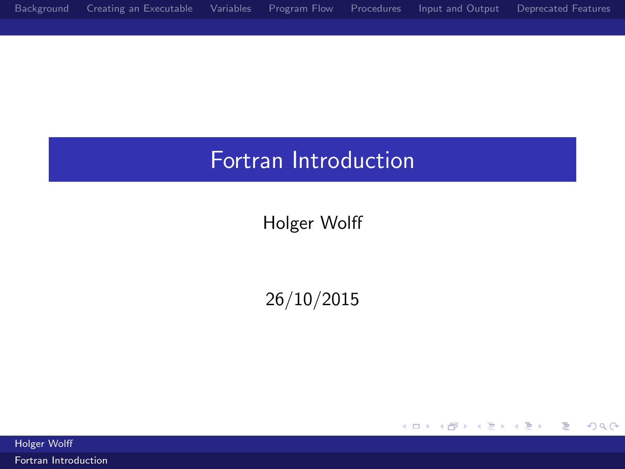## <span id="page-0-0"></span>Fortran Introduction

Holger Wolff

26/10/2015

メロメ メ都 メメ きょ メモメ

重

 $299$ 

Holger Wolff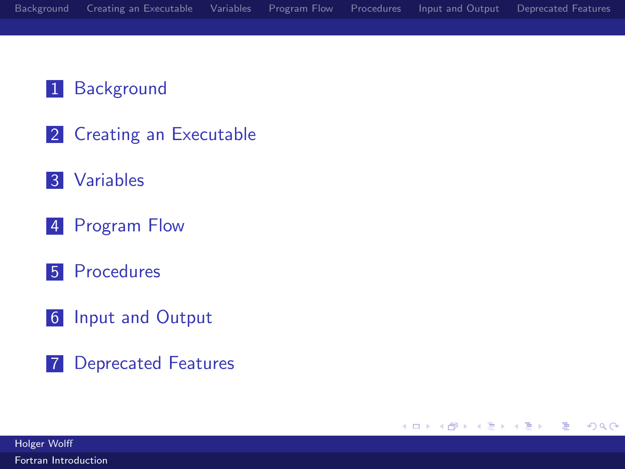#### 1 [Background](#page-2-0)

- 2 [Creating an Executable](#page-11-0)
- 3 [Variables](#page-18-0)
- 4 [Program Flow](#page-30-0)
- 5 [Procedures](#page-50-0)
- 6 [Input and Output](#page-66-0)
- 7 [Deprecated Features](#page-77-0)

Holger Wolff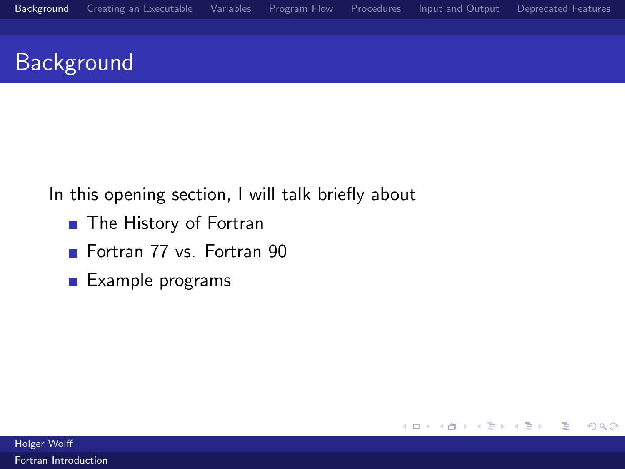$299$ 

活

メロメ メ都 メメモ メルモト

# <span id="page-2-0"></span>**Background**

In this opening section, I will talk briefly about

- The History of Fortran
- Fortran 77 vs. Fortran 90
- $\blacksquare$  Example programs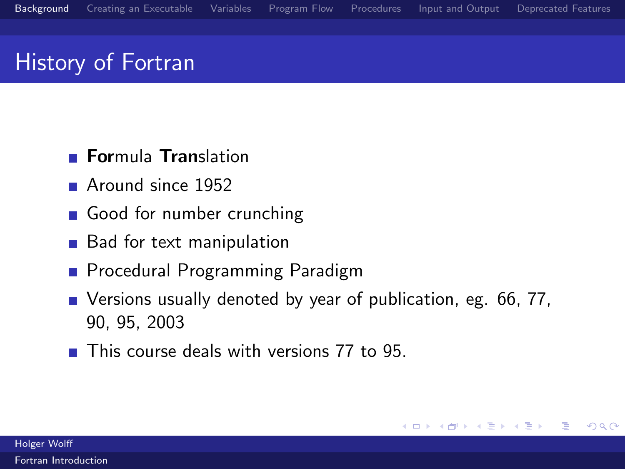# History of Fortran

- **Formula Translation**
- Around since 1952
- Good for number crunching
- Bad for text manipulation
- **Procedural Programming Paradigm**
- Versions usually denoted by year of publication, eg. 66, 77, 90, 95, 2003
- This course deals with versions 77 to 95.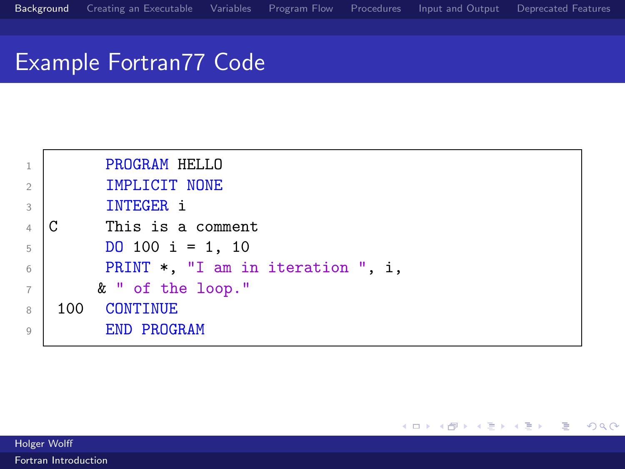## Example Fortran77 Code



ミー

メロメ メ都 メメモメメ ヨメ

Holger Wolff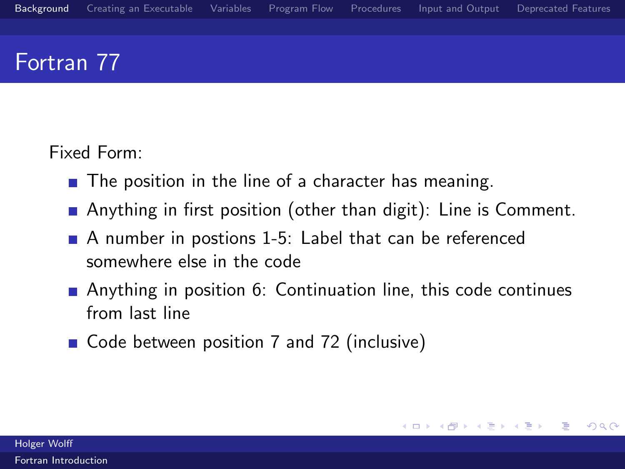## Fortran 77

Fixed Form:

- $\blacksquare$  The position in the line of a character has meaning.
- **Anything in first position (other than digit): Line is Comment.**
- A number in postions 1-5: Label that can be referenced somewhere else in the code
- Anything in position 6: Continuation line, this code continues from last line
- Code between position 7 and 72 (inclusive)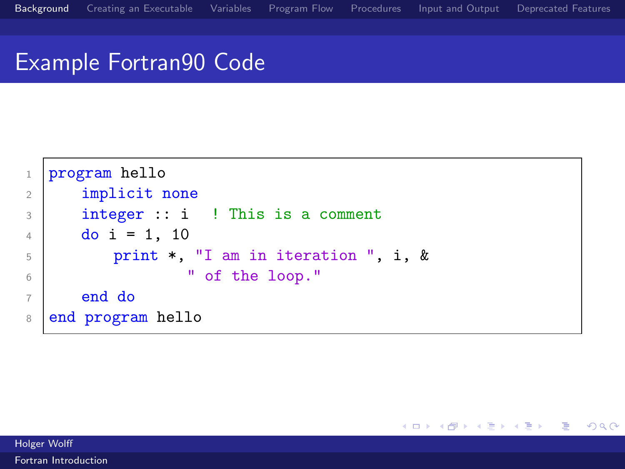メロメ メ都 メメモメメ ヨメ

活

 $299$ 

### Example Fortran90 Code

```
1 program hello
2 implicit none
3 integer :: i ! This is a comment
4 do i = 1, 10
5 print *, "I am in iteration ", i, &
6 | Contract the loop."
7 \times 1 end do
8 end program hello
```
Holger Wolff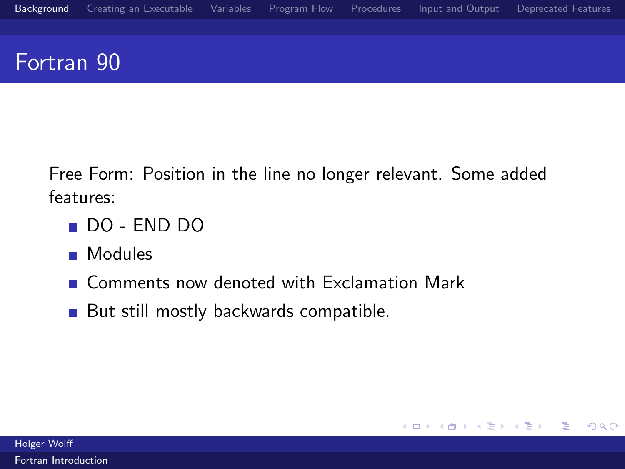## Fortran 90

Free Form: Position in the line no longer relevant. Some added features:

- DO END DO
- **Modules**
- Comments now denoted with Exclamation Mark
- But still mostly backwards compatible.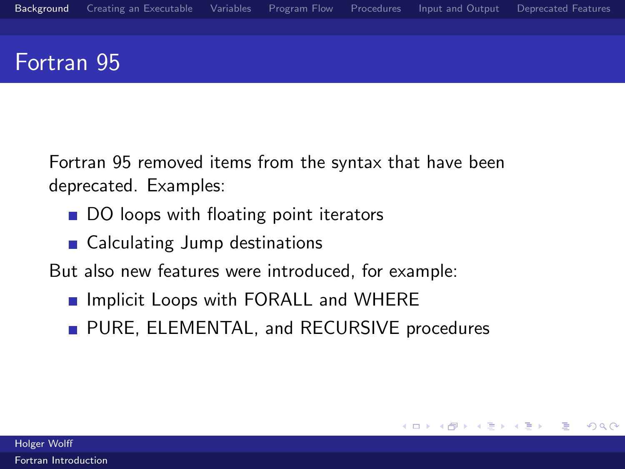#### Fortran 95

Fortran 95 removed items from the syntax that have been deprecated. Examples:

- DO loops with floating point iterators
- Calculating Jump destinations

But also new features were introduced, for example:

- **Implicit Loops with FORALL and WHERE**
- **PURE, ELEMENTAL, and RECURSIVE procedures**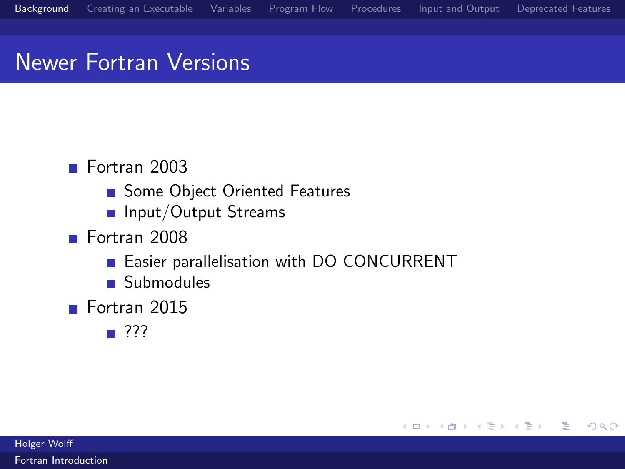## Newer Fortran Versions

#### ■ Fortran 2003

- Some Object Oriented Features
- **n** Input/Output Streams
- Fortran 2008
	- **Easier parallelisation with DO CONCURRENT**

メロメ メ都 メメモ メルモト

Ε

 $QQ$ 

- Submodules
- Fortran 2015
	- ???

Holger Wolff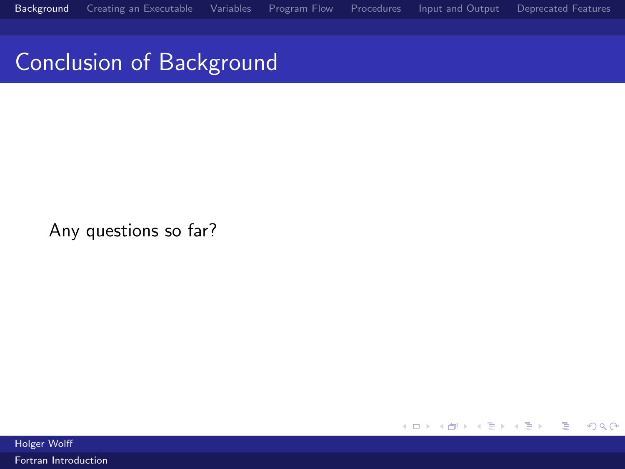Conclusion of Background

Any questions so far?

K ロ ▶ K 御 ▶ K 君 ▶ K 君 ▶ 重  $299$ 

Holger Wolff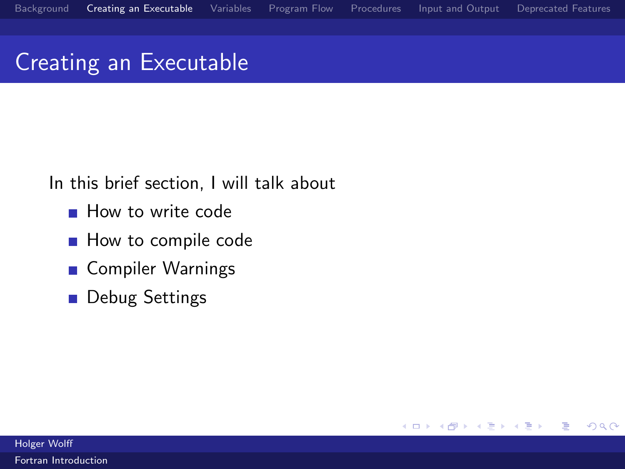$299$ 

Ε

4. 0. 8.

→ 何 →

∋ »

# <span id="page-11-0"></span>Creating an Executable

In this brief section, I will talk about

- **How to write code**
- How to compile code
- Compiler Warnings
- **Debug Settings**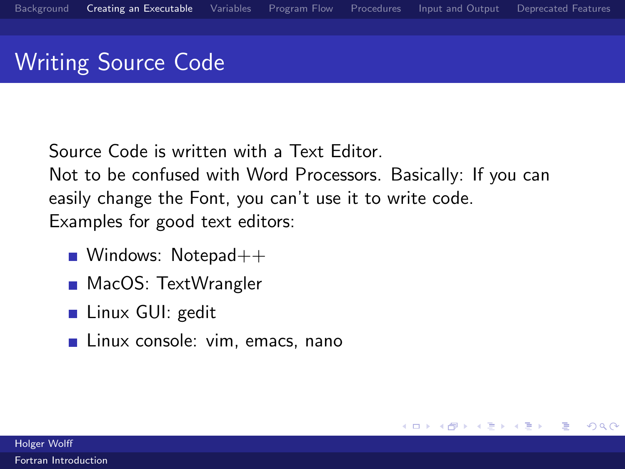# Writing Source Code

Source Code is written with a Text Editor. Not to be confused with Word Processors. Basically: If you can easily change the Font, you can't use it to write code. Examples for good text editors:

 $\left\langle \left\langle \left\langle \left\langle \left\langle \mathbf{q} \right\rangle \right\rangle \right\rangle \right\rangle \right\rangle$   $\left\langle \left\langle \left\langle \left\langle \mathbf{q} \right\rangle \right\rangle \right\rangle \right\rangle$ 

4 **D** F

Ε

 $\Omega$ 

- Windows: Notepad $++$
- MacOS: TextWrangler
- Linux GUI: gedit
- Linux console: vim, emacs, nano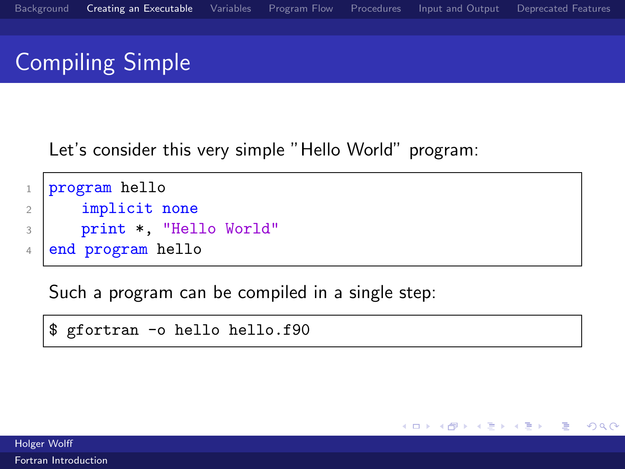メロメ メ都 メメモ メルモト

Ε

 $\Omega$ 

# Compiling Simple

Let's consider this very simple "Hello World" program:

```
1 program hello
2 implicit none
3 print *, "Hello World"
4 end program hello
```
Such a program can be compiled in a single step:

\$ gfortran -o hello hello.f90

Holger Wolff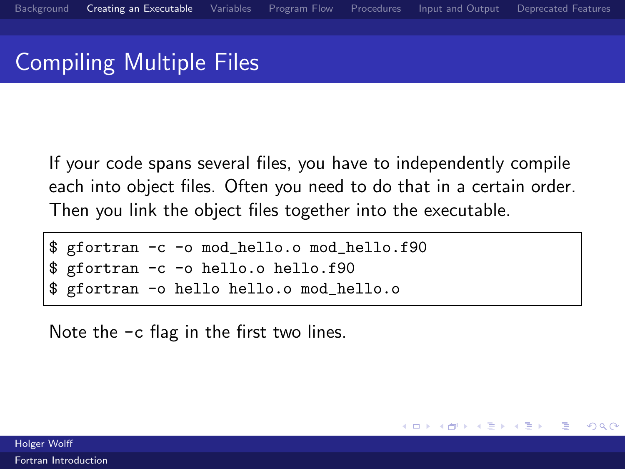# Compiling Multiple Files

If your code spans several files, you have to independently compile each into object files. Often you need to do that in a certain order. Then you link the object files together into the executable.

**←何 ▶ → 三 ▶ →** 

 $209$ 

```
$ gfortran -c -o mod_hello.o mod_hello.f90
$ gfortran -c -o hello.o hello.f90
 gfortran -o hello hello.o mod_hello.o
```
Note the -c flag in the first two lines.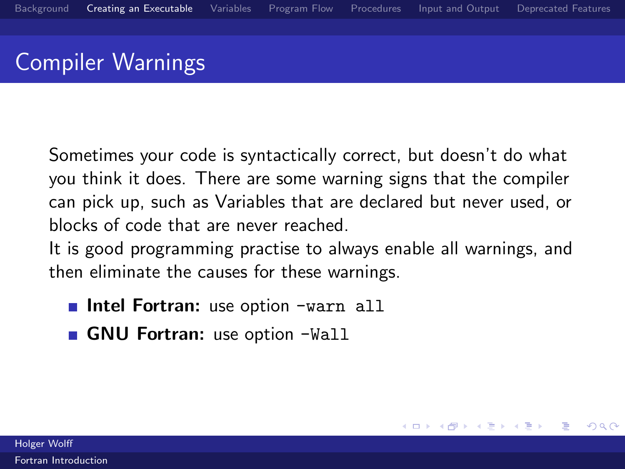# Compiler Warnings

Sometimes your code is syntactically correct, but doesn't do what you think it does. There are some warning signs that the compiler can pick up, such as Variables that are declared but never used, or blocks of code that are never reached.

It is good programming practise to always enable all warnings, and then eliminate the causes for these warnings.

**K モ ヌ イ テ ト** 

 $\Omega$ 

- **Intel Fortran:** use option -warn all
- GNU Fortran: use option -Wall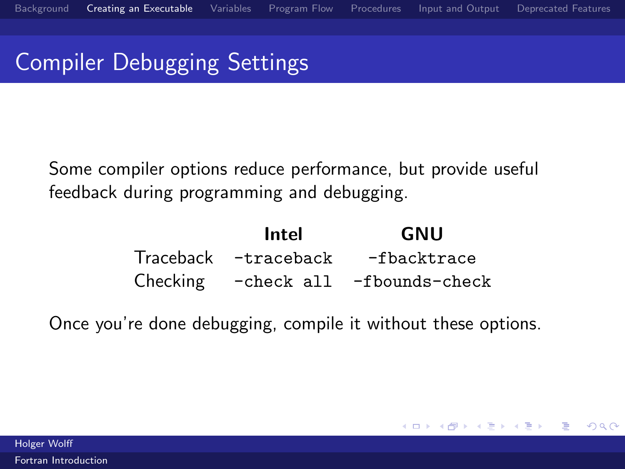# Compiler Debugging Settings

Some compiler options reduce performance, but provide useful feedback during programming and debugging.

| Intel | GNU                                  |
|-------|--------------------------------------|
|       | Traceback -traceback -fbacktrace     |
|       | Checking - check all - fbounds-check |

Once you're done debugging, compile it without these options.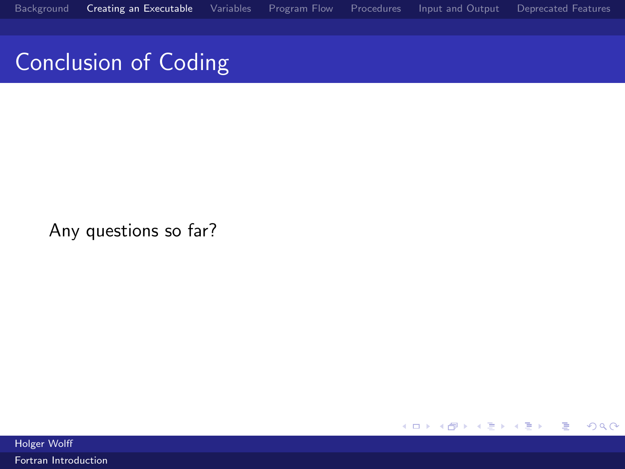# Conclusion of Coding

Any questions so far?

K ロ ▶ K 御 ▶ K 君 ▶ K 君 ▶ 重  $299$ 

Holger Wolff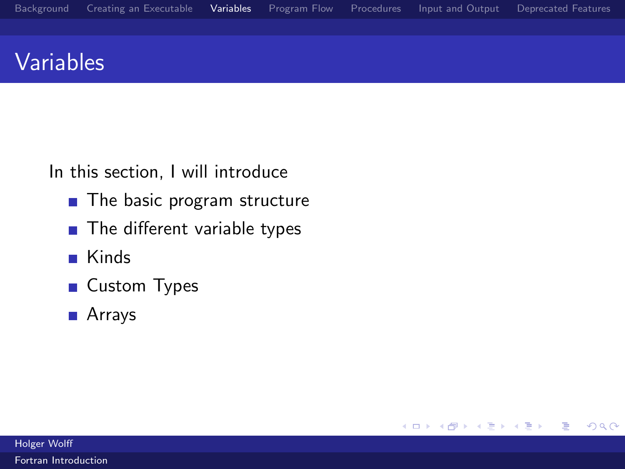## <span id="page-18-0"></span>Variables

In this section, I will introduce

- $\blacksquare$  The basic program structure
- The different variable types
- Kinds
- **Custom Types**
- Arrays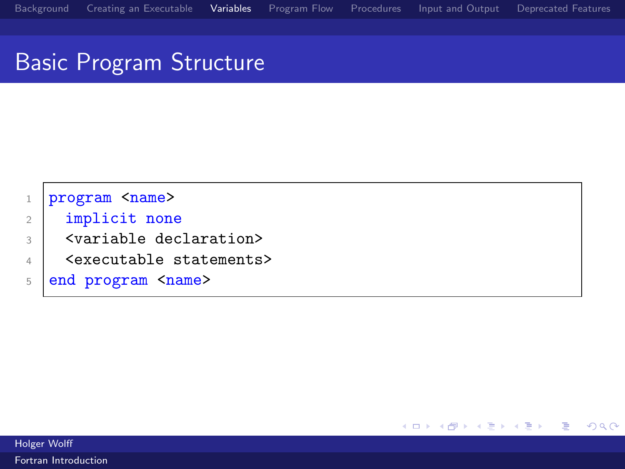# Basic Program Structure

| program <name></name>                   |
|-----------------------------------------|
| implicit none                           |
| <variable declaration=""></variable>    |
| <executable statements=""></executable> |
| 5 end program <name></name>             |
|                                         |

K ロ ▶ K 御 ▶ K 君 ▶ K 君 ▶

重

 $299$ 

Holger Wolff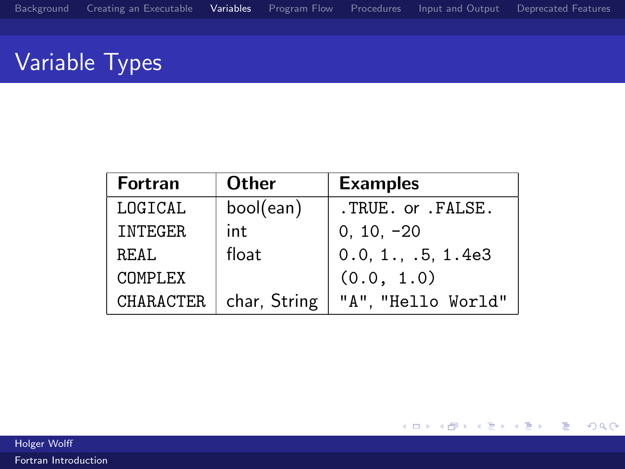# Variable Types

| <b>Fortran</b> | Other        | <b>Examples</b>    |
|----------------|--------------|--------------------|
| LOGTCAL        | bool(ean)    | .TRUE. or .FALSE.  |
| <b>INTEGER</b> | int          | $0, 10, -20$       |
| R.F.AT.        | float        | 0.0, 1., .5, 1.4e3 |
| COMPLEX        |              | (0.0, 1.0)         |
| CHARACTER.     | char, String | "A". "Hello World" |

K ロ ▶ K 御 ▶ K 君 ▶ K 君 ▶ 重  $299$ 

Holger Wolff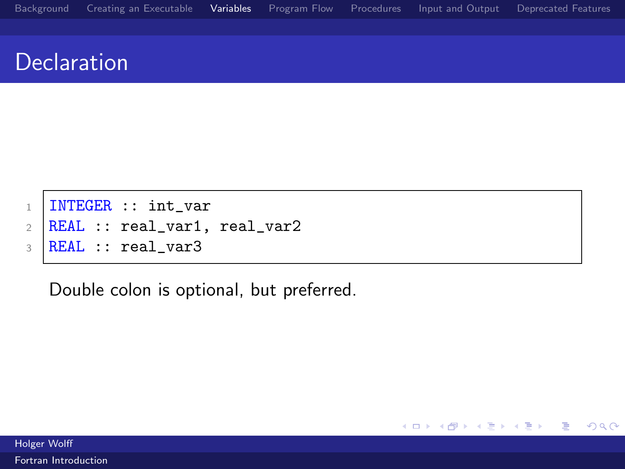$299$ 

 $\Rightarrow$ 活

#### **Declaration**

- 1 | INTEGER :: int\_var
- $2$  REAL :: real\_var1, real\_var2
- $3$  REAL :: real\_var3

Double colon is optional, but preferred.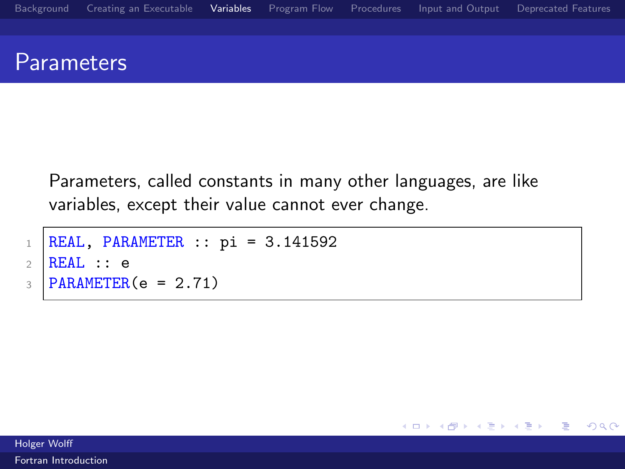#### **Parameters**

Parameters, called constants in many other languages, are like variables, except their value cannot ever change.

```
1 REAL, PARAMETER :: pi = 3.141592
2 REAL :: e
3 PARAMETER(e = 2.71)
```
メロト メ何ト メミトメ  $\Rightarrow$ 目  $299$ 

Holger Wolff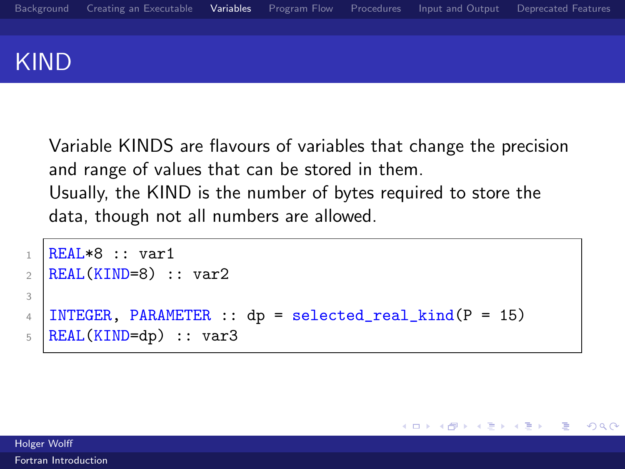

Variable KINDS are flavours of variables that change the precision and range of values that can be stored in them. Usually, the KIND is the number of bytes required to store the data, though not all numbers are allowed.

 $\rightarrow$   $\overline{m}$   $\rightarrow$   $\rightarrow$   $\overline{m}$   $\rightarrow$   $\rightarrow$ 

4 **D** F

Ε

 $QQ$ 

```
1 REAL*8 :: var1
2 REAL(KIND=8) :: var23
4 | INTEGER, PARAMETER :: dp = selected_real_kind(P = 15)
5 REAL(KIND=dp) :: var3
```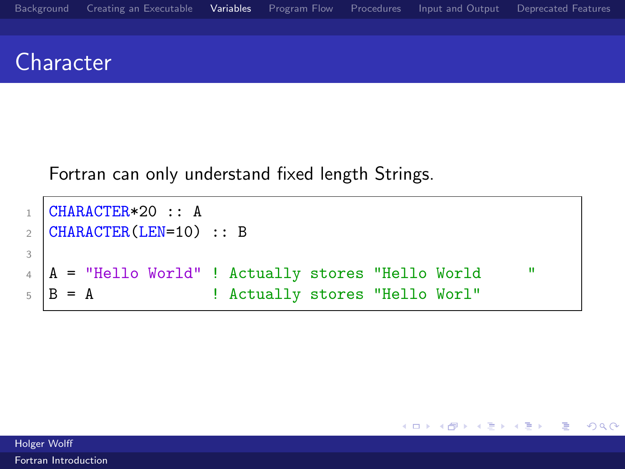#### **Character**

Fortran can only understand fixed length Strings.

```
1 CHARACTER*20 :: A
2 CHARACTER(LEN=10) :: B
3
4 \mid A = "Hello World" ! Actually stores "Hello World "
5 \mid B = A ! Actually stores "Hello Worl"
```
 $299$ 

 $\Rightarrow$ Ε

メロト メ団 トメ ミトメ

Holger Wolff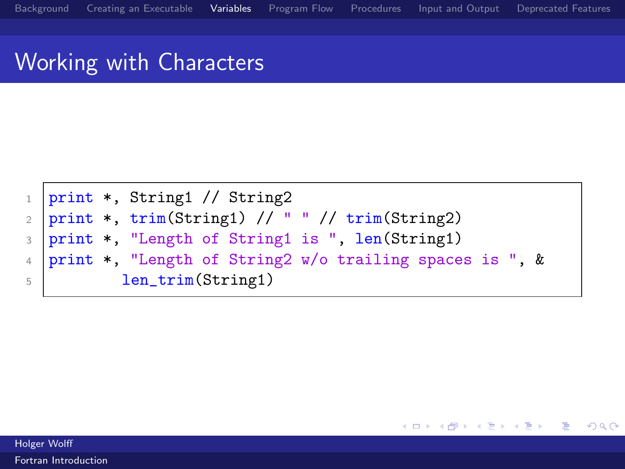#### Working with Characters



メロメ メ都 メメモメメ ヨメ

Ε

 $QQ$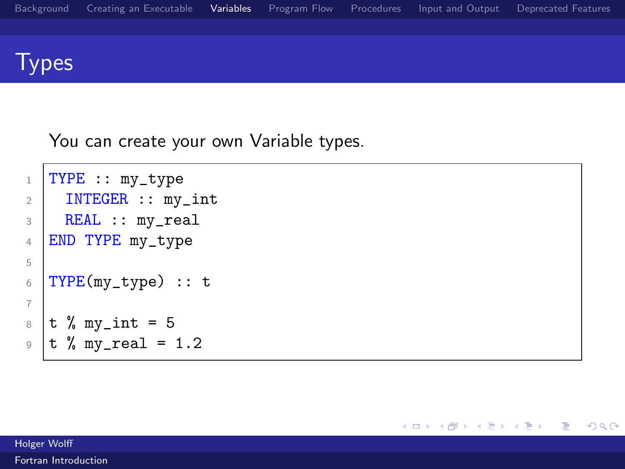

#### **Types**

You can create your own Variable types.

```
1 TYPE :: my_type
2 | INTEGER :: my_int
3 REAL :: my_real
4 END TYPE my_type
5
6 TYPE(my_type) :: t
7
8 \mid t \text{ % } my\_int = 59 |t % my_real = 1.2
```
Holger Wolff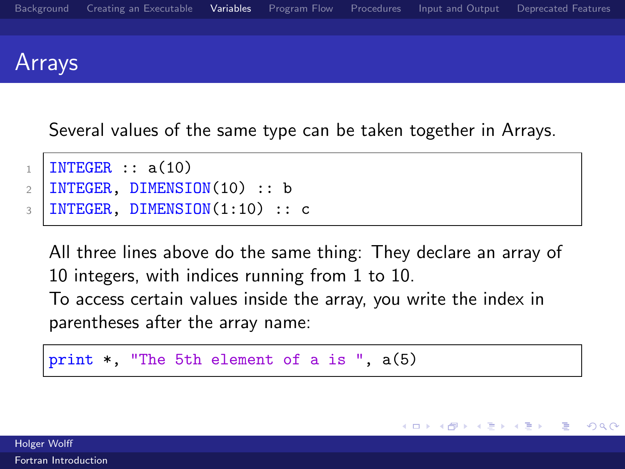

Several values of the same type can be taken together in Arrays.

```
1 | INTEGER :: a(10)2 | INTEGER, DIMENSION(10) :: b
3 | INTEGER, DIMENSION(1:10) :: c
```
All three lines above do the same thing: They declare an array of 10 integers, with indices running from 1 to 10. To access certain values inside the array, you write the index in parentheses after the array name:

メロメ メ都 メメ きょ メモメ

 $\Omega$ 

```
print \ast, "The 5th element of a is ", a(5)
```
Holger Wolff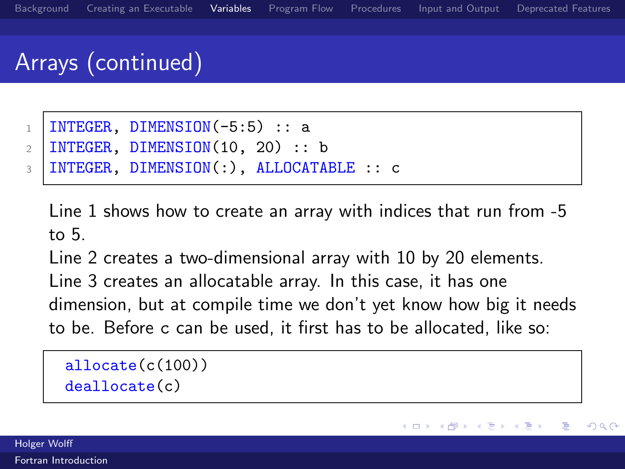# Arrays (continued)

- $1$  INTEGER, DIMENSION(-5:5) :: a
- $2$  | INTEGER, DIMENSION(10, 20) :: b
- <sup>3</sup> INTEGER, DIMENSION(:), ALLOCATABLE :: c

Line 1 shows how to create an array with indices that run from -5 to 5.

Line 2 creates a two-dimensional array with 10 by 20 elements. Line 3 creates an allocatable array. In this case, it has one dimension, but at compile time we don't yet know how big it needs to be. Before c can be used, it first has to be allocated, like so:

allocate(c(100)) deallocate(c)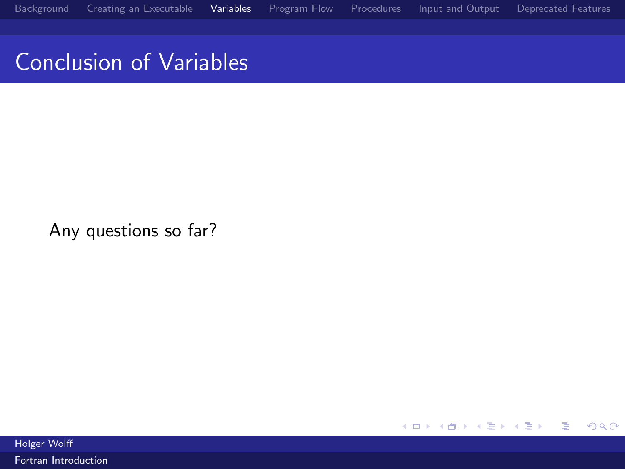# Conclusion of Variables

Any questions so far?

K ロ ▶ K 御 ▶ K 君 ▶ K 君 ▶ 重  $299$ 

Holger Wolff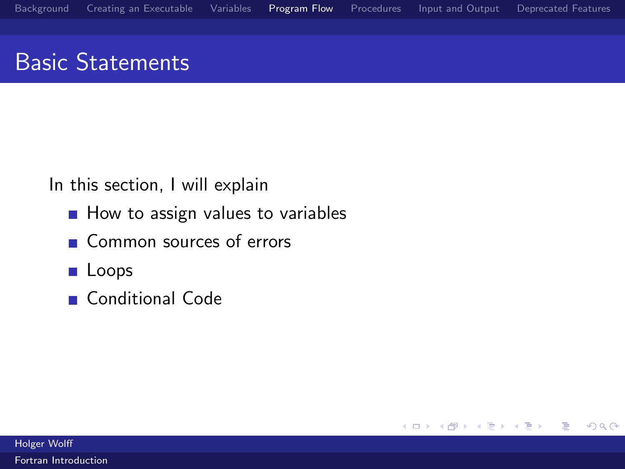$299$ 

 $\Rightarrow$ 活

メロト メ団 トメ ミトメ

## <span id="page-30-0"></span>Basic Statements

In this section, I will explain

- $\blacksquare$  How to assign values to variables
- Common sources of errors
- **Loops**
- Conditional Code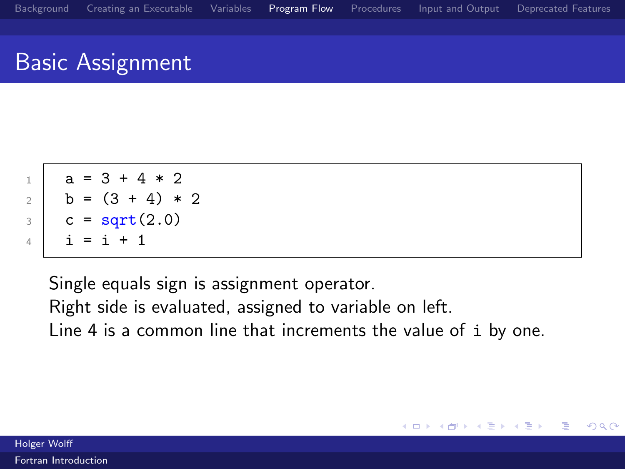#### Basic Assignment

$$
\begin{array}{c|cccc}\n1 & a & = & 3 + 4 * 2 \\
2 & b & = & (3 + 4) * 2 \\
3 & c & = & 14 \\
4 & = & 1 + 1\n\end{array}
$$

Single equals sign is assignment operator. Right side is evaluated, assigned to variable on left. Line 4 is a common line that increments the value of i by one.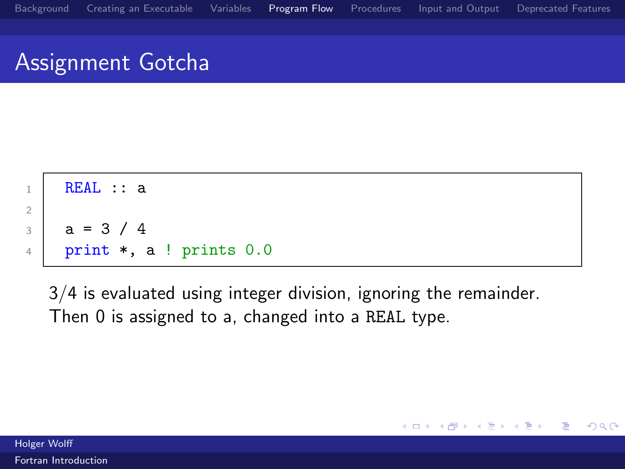#### Assignment Gotcha

<sup>1</sup> REAL :: a 2 <sup>3</sup> a = 3 / 4 <sup>4</sup> print \*, a ! prints 0.0

3/4 is evaluated using integer division, ignoring the remainder. Then 0 is assigned to a, changed into a REAL type.

Holger Wolff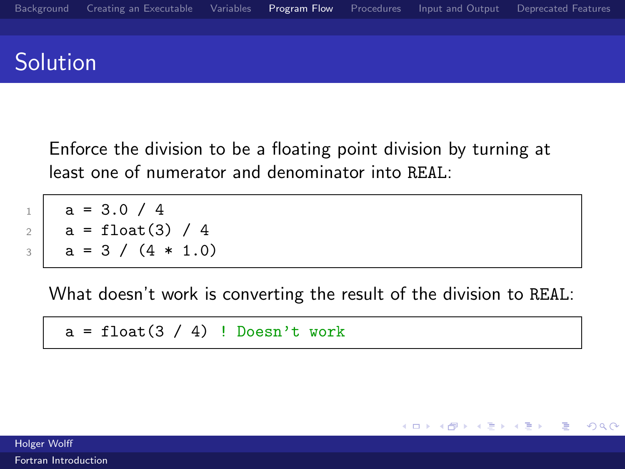#### Solution

Enforce the division to be a floating point division by turning at least one of numerator and denominator into REAL:

 $a = 3.0 / 4$  $a = float(3) / 4$  $3 \mid a = 3 / (4 * 1.0)$ 

What doesn't work is converting the result of the division to REAL:

メロメ メ都 メメモメメ ヨメ

Ε

 $QQ$ 

 $a = float(3 / 4)$  ! Doesn't work

Holger Wolff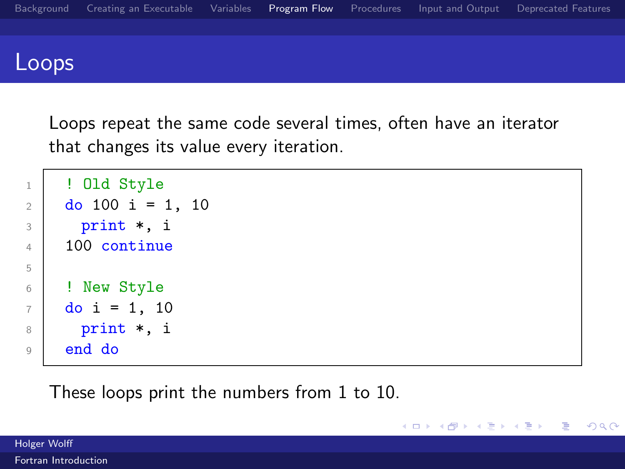

Loops repeat the same code several times, often have an iterator that changes its value every iteration.

メロメ メ都 メメモ メルモト

Ε

 $299$ 

```
1 ! Old Style
2 do 100 i = 1, 10
3 print *, i
4 \mid 100 continue
5
6 | ! New Style
7 \mid do i = 1, 10
8 print *, i
9 end do
```
These loops print the numbers from 1 to 10.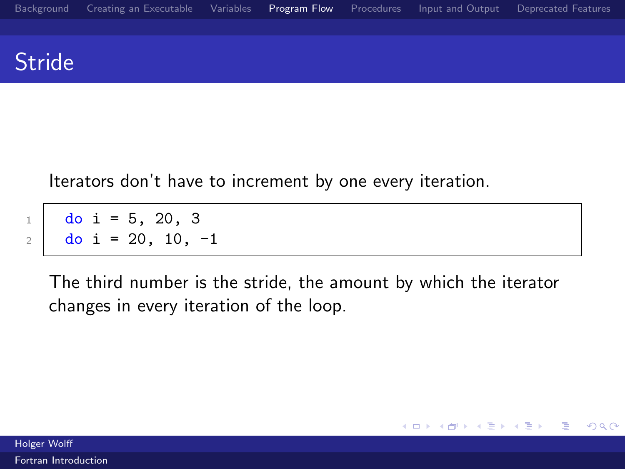#### **Stride**

Iterators don't have to increment by one every iteration.

 $d$ o i = 5, 20, 3  $2 \mid$  do i = 20, 10, -1

> The third number is the stride, the amount by which the iterator changes in every iteration of the loop.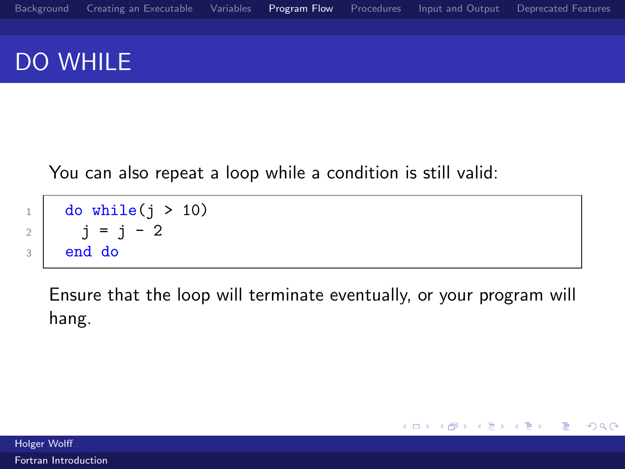# DO WHILE

You can also repeat a loop while a condition is still valid:

```
_1 do while(j > 10)
2 j = j - 23 end do
```
Ensure that the loop will terminate eventually, or your program will hang.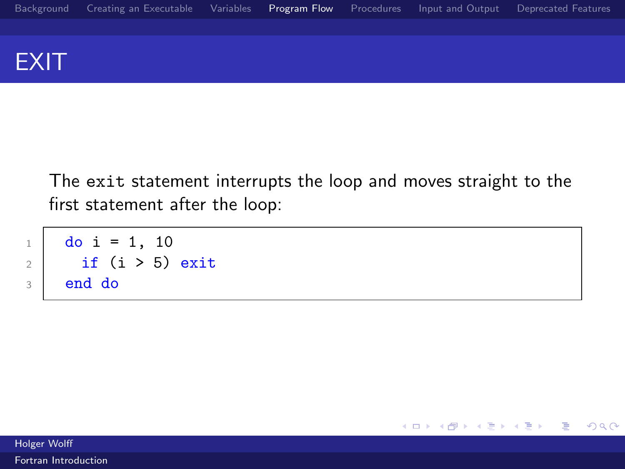

The exit statement interrupts the loop and moves straight to the first statement after the loop:

```
1 do i = 1, 10
2 if (i > 5) exit
3 end do
```
Holger Wolff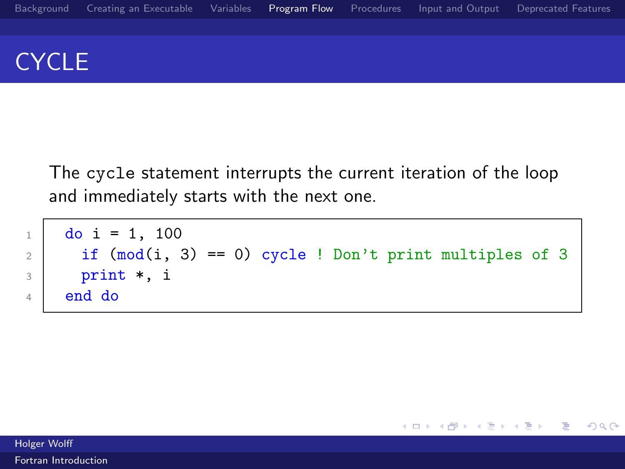## **CYCLE**

The cycle statement interrupts the current iteration of the loop and immediately starts with the next one.

```
1 do i = 1, 100
2 if (mod(i, 3) == 0) cycle ! Don't print multiples of 3
3 print *, i
4 end do
```
Holger Wolff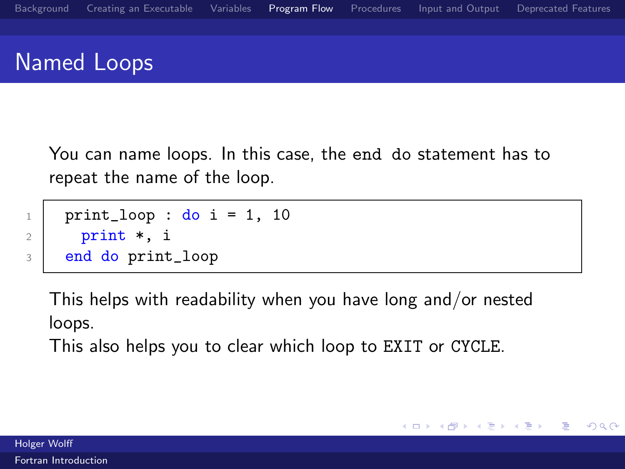### Named Loops

You can name loops. In this case, the end do statement has to repeat the name of the loop.

```
1 print_loop : do i = 1, 10
2 print *, i3 end do print_loop
```
This helps with readability when you have long and/or nested loops.

This also helps you to clear which loop to EXIT or CYCLE.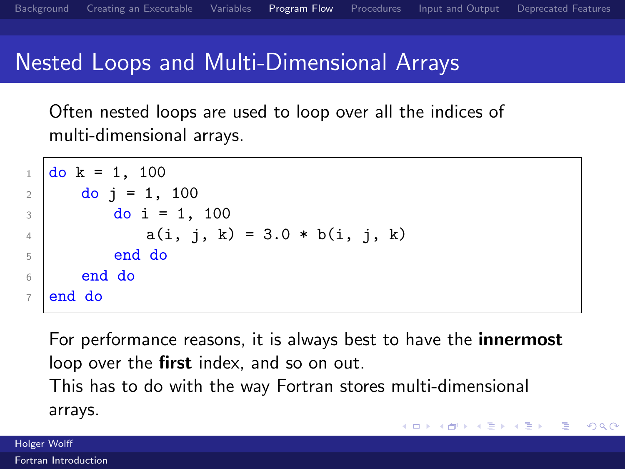## Nested Loops and Multi-Dimensional Arrays

Often nested loops are used to loop over all the indices of multi-dimensional arrays.

```
1 \mid \text{do } k = 1, 1002 \mid do j = 1, 100
3 \mid \text{do} i = 1, 1004 a(i, j, k) = 3.0 * b(i, j, k)
5 end do
6 \mid end do
7 end do
```
For performance reasons, it is always best to have the **innermost** loop over the first index, and so on out. This has to do with the way Fortran stores multi-dimensional arrays.  $\left\{ \begin{array}{ccc} 1 & 0 & 0 \\ 0 & 1 & 0 \end{array} \right.$ Ε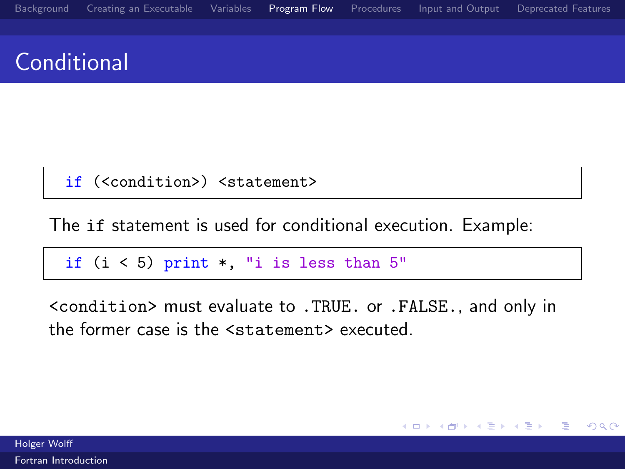# **Conditional**

if (<condition>) <statement>

The if statement is used for conditional execution. Example:

if  $(i < 5)$  print  $*$ , "i is less than  $5"$ 

<condition> must evaluate to .TRUE. or .FALSE., and only in the former case is the <statement> executed.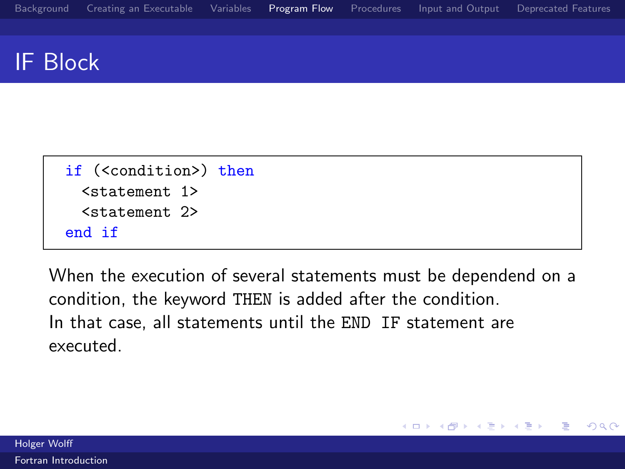### IF Block

| if ( <condition>) then</condition> |  |  |
|------------------------------------|--|--|
| <statement 1=""></statement>       |  |  |
| <statement 2=""></statement>       |  |  |
| end if                             |  |  |

When the execution of several statements must be dependend on a condition, the keyword THEN is added after the condition. In that case, all statements until the END IF statement are executed.

4.0.3

4 何 ▶

÷.

Ε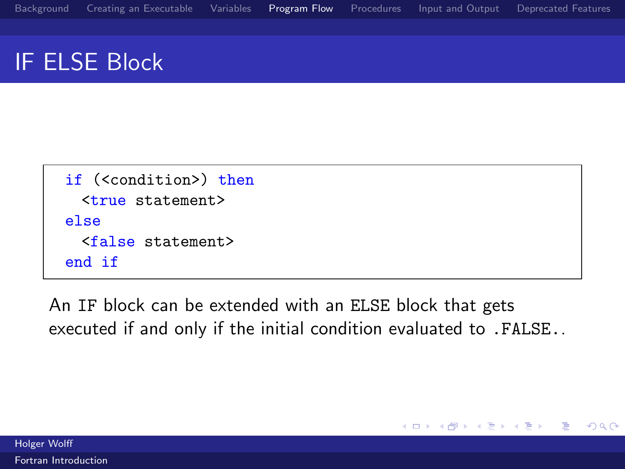# IF ELSE Block

```
if (<condition>) then
 <true statement>
else
 <false statement>
end if
```
An IF block can be extended with an ELSE block that gets executed if and only if the initial condition evaluated to .FALSE..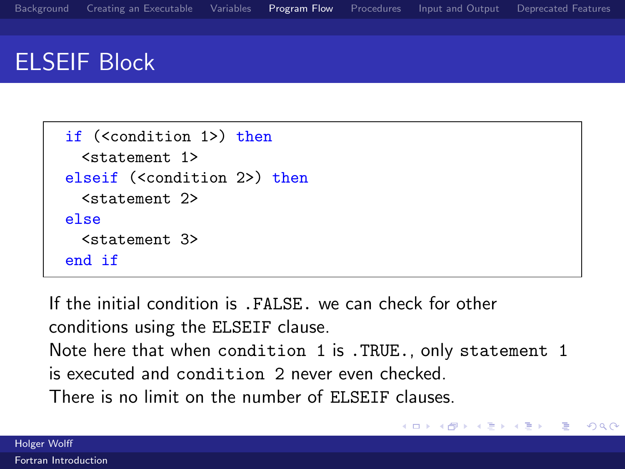# ELSEIF Block

```
if (<condition 1>) then
 <statement 1>
elseif (<condition 2>) then
 <statement 2>
else
 <statement 3>
end if
```
If the initial condition is .FALSE. we can check for other conditions using the ELSEIF clause. Note here that when condition 1 is .TRUE., only statement 1 is executed and condition 2 never even checked. There is no limit on the number of ELSEIF clauses.

メロメ メ母メ メミメ メミメ

G.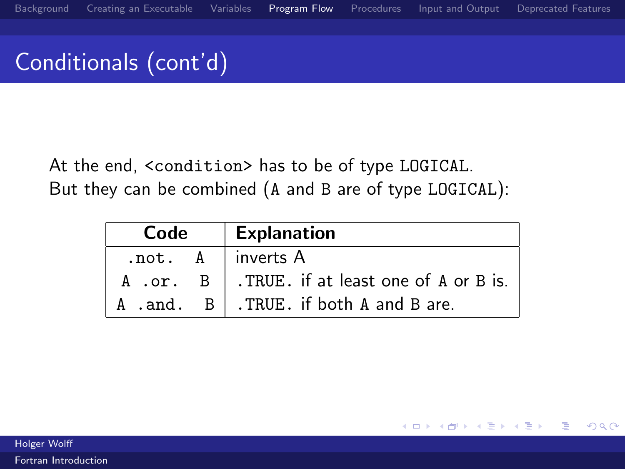# Conditionals (cont'd)

At the end, <condition> has to be of type LOGICAL. But they can be combined (A and B are of type LOGICAL):

| Code | <b>Explanation</b>                                                         |
|------|----------------------------------------------------------------------------|
|      | $not. A$ inverts A                                                         |
|      | A .or. B   .TRUE. if at least one of A or B is.                            |
|      | $\parallel$ A .and. $\parallel$ B $\parallel$ . TRUE. if both A and B are. |

4.0.3

Ε

 $\Omega$ 

Holger Wolff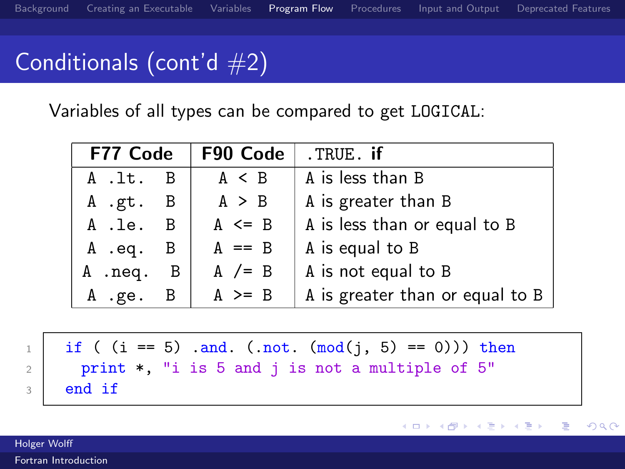# Conditionals (cont'd  $#2$ )

Variables of all types can be compared to get LOGICAL:

| F77 Code |                | F90 Code   | .TRUE. if                       |
|----------|----------------|------------|---------------------------------|
| A .lt. B |                | $A \leq B$ | A is less than B                |
| A.gt. B  |                | A > B      | A is greater than B             |
| A .le. B |                | $A \leq B$ | A is less than or equal to B    |
| A .eq.   | - B            | $A == B$   | A is equal to B                 |
| A .neq.  | $\overline{B}$ | A $/=$ B   | A is not equal to B             |
| A .ge.   |                | $A \geq R$ | A is greater than or equal to B |

| $_1$ $\mid$ if ( (i == 5) .and. (.not. (mod(j, 5) == 0))) then |  |  |  |
|----------------------------------------------------------------|--|--|--|
| $_2$   print *, "i is 5 and j is not a multiple of 5"          |  |  |  |
| $\frac{1}{3}$ end if                                           |  |  |  |

Holger Wolff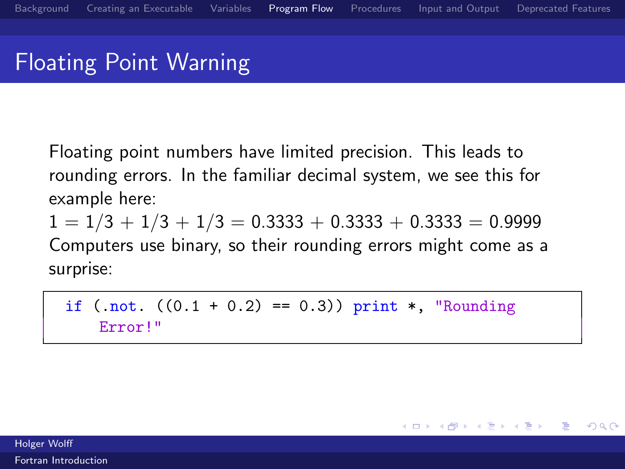# Floating Point Warning

Floating point numbers have limited precision. This leads to rounding errors. In the familiar decimal system, we see this for example here:

 $1 = 1/3 + 1/3 + 1/3 = 0.3333 + 0.3333 + 0.3333 = 0.9999$ Computers use binary, so their rounding errors might come as a surprise:

if  $(\text{not. } ((0.1 + 0.2) == 0.3)) \text{ print } *$ , "Rounding Error!"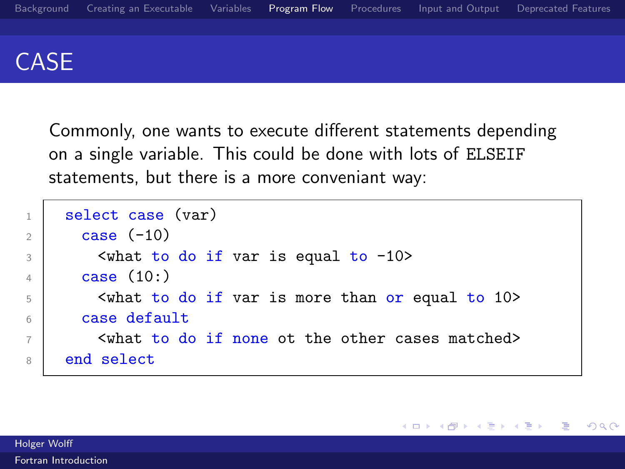

Commonly, one wants to execute different statements depending on a single variable. This could be done with lots of ELSEIF statements, but there is a more conveniant way:

```
1 select case (var)
2 \text{ case } (-10)3 <what to do if var is equal to -10>
4 \text{ case } (10)5 | \leq \leq \leq \leq \leq \leq \leq \leq \leq \leq \leq \leq \leq \leq \leq \leq \leq \leq \leq \leq \leq \leq \leq \leq \leq \leq \leq \leq \leq \leq \leq \leq \leq \leq \leq \leq \6 case default
7 <what to do if none ot the other cases matched>
8 end select
```
メロメ メ母メ メミメ メミメ

Ε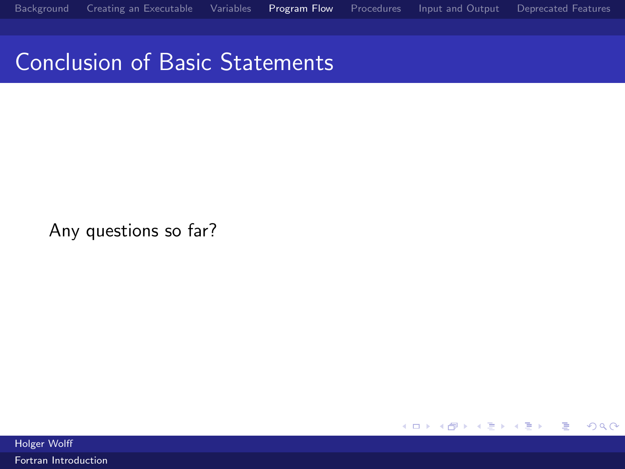### Conclusion of Basic Statements

Any questions so far?

重  $299$ メロメ メ都 メメモ メルモト

Holger Wolff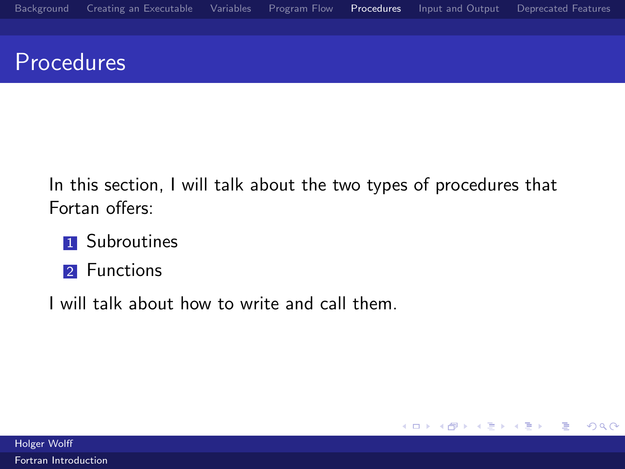# <span id="page-50-0"></span>**Procedures**

In this section, I will talk about the two types of procedures that Fortan offers:

- **1** Subroutines
- 2 Functions
- I will talk about how to write and call them.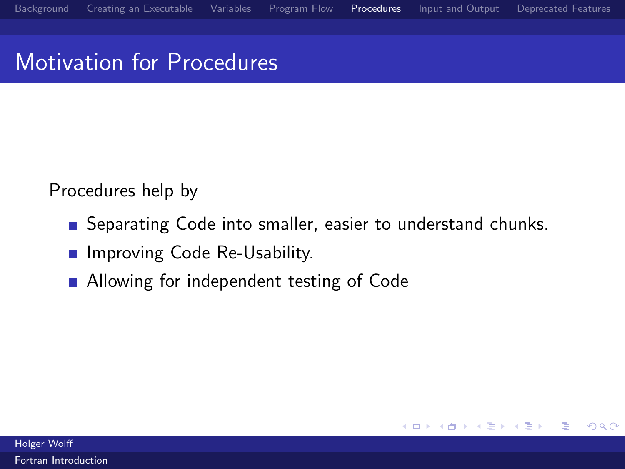# Motivation for Procedures

Procedures help by

Separating Code into smaller, easier to understand chunks.

**K ロ ▶ K 何 ▶ K** 

**Book** 

Ε

- **Improving Code Re-Usability.**
- Allowing for independent testing of Code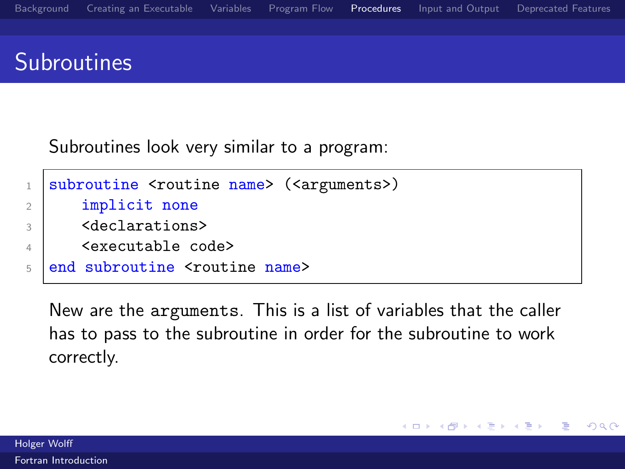# **Subroutines**

Subroutines look very similar to a program:

```
1 subroutine <routine name> (<arguments>)
2 implicit none
3 <declarations>
4 <executable code>
5 end subroutine <toutine name>
```
New are the arguments. This is a list of variables that the caller has to pass to the subroutine in order for the subroutine to work correctly.

4.0.3

4 何 ▶

重き

Ε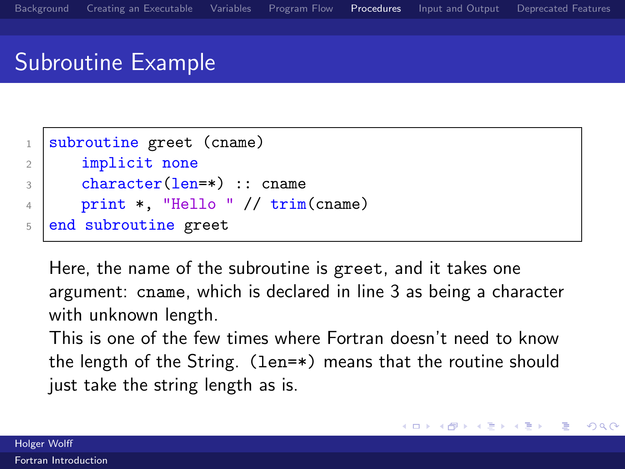# Subroutine Example

```
1 subroutine greet (cname)
2 implicit none
3 character(len=*) :: cname
4 print *, "Hello " // trim(cname)
5 end subroutine greet
```
Here, the name of the subroutine is greet, and it takes one argument: cname, which is declared in line 3 as being a character with unknown length.

This is one of the few times where Fortran doesn't need to know the length of the String. (len=\*) means that the routine should just take the string length as is.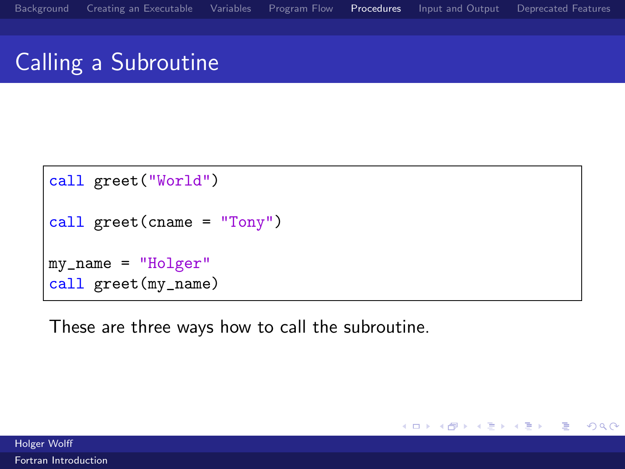# Calling a Subroutine

```
call greet("World")
call greet(cname = "Tony")
my_name = "Holger"
call greet(my_name)
```
These are three ways how to call the subroutine.

Ε

 $\Omega$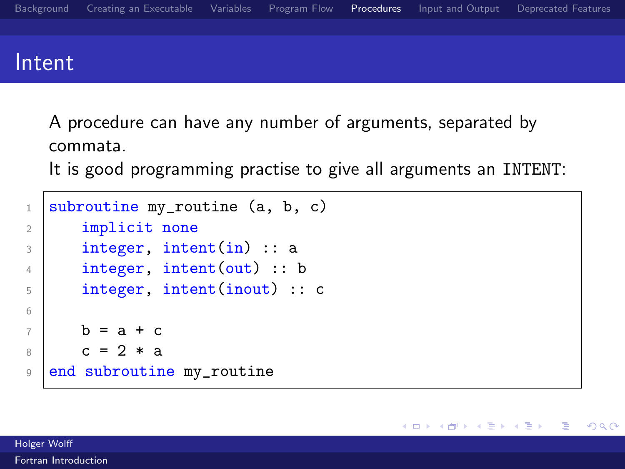### Intent

A procedure can have any number of arguments, separated by commata.

It is good programming practise to give all arguments an INTENT:

メロト メタト メミトメ

Ε

```
1 subroutine my_routine (a, b, c)
2 implicit none
3 integer, intent(in) :: a
4 integer, intent(out) :: b
5 integer, intent(inout) :: c
6
7 b = a + c
8 c = 2 * a
9 end subroutine my_routine
```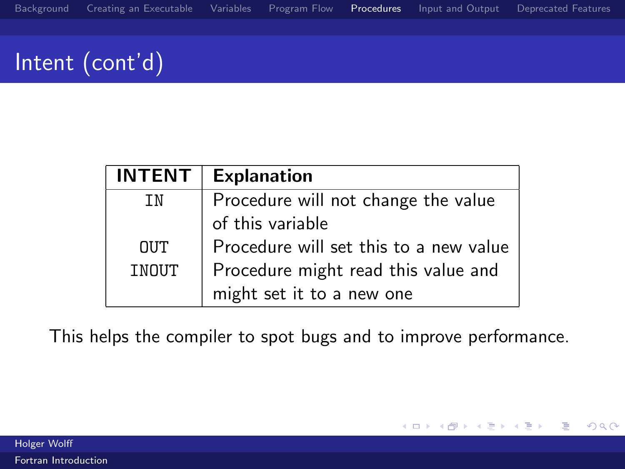# Intent (cont'd)

| INTENT     | <b>Explanation</b>                     |
|------------|----------------------------------------|
| ΤN         | Procedure will not change the value    |
|            | of this variable                       |
| <b>OUT</b> | Procedure will set this to a new value |
| INOUT      | Procedure might read this value and    |
|            | might set it to a new one              |

This helps the compiler to spot bugs and to improve performance.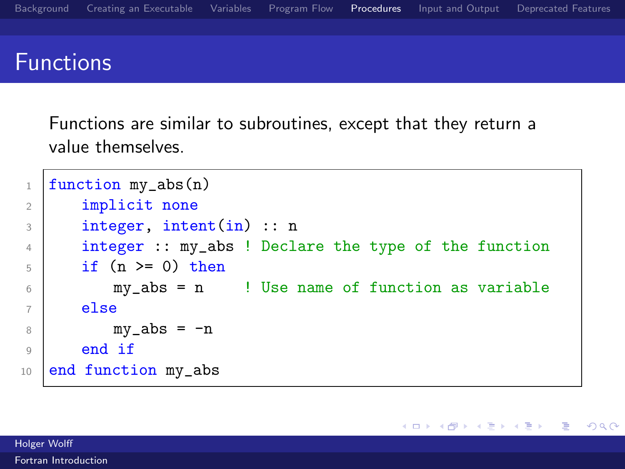### Functions

Functions are similar to subroutines, except that they return a value themselves.

```
_1 | function my_abs(n)
2 implicit none
3 integer, intent(in) :: n
4 integer :: my_abs ! Declare the type of the function
5 \mid \text{if} (n \geq 0) \text{ then}6 my_abs = n ! Use name of function as variable
7 else
8 \mid \text{my}_abs = -n9 end if
10 end function my_abs
```
 $299$ 

Ε

メロメ メ母メ メミメ メミメ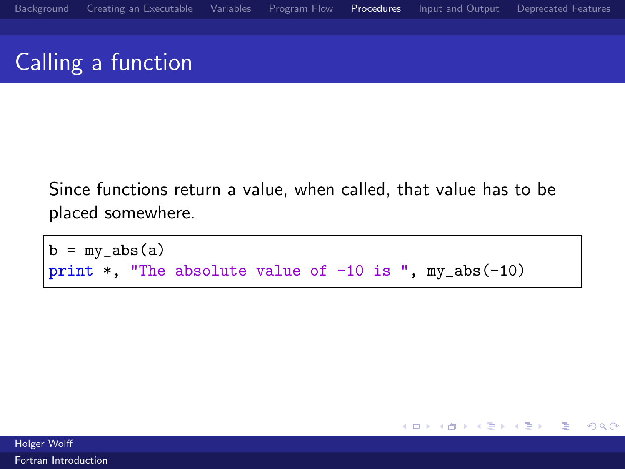# Calling a function

Since functions return a value, when called, that value has to be placed somewhere.

```
b = my_abs(a)print *, "The absolute value of -10 is ", my_abs(-10)
```
Holger Wolff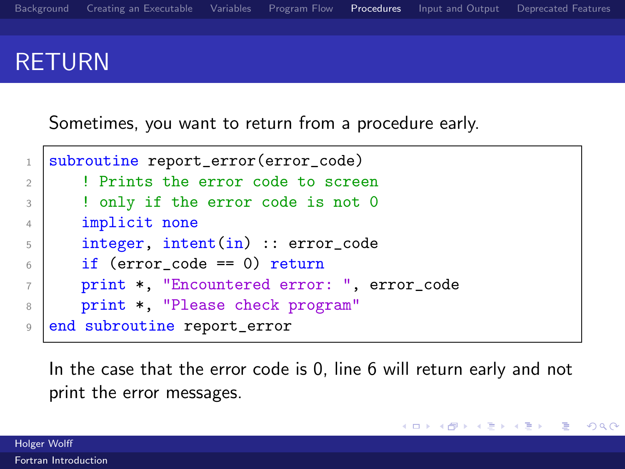## RETURN

Sometimes, you want to return from a procedure early.

```
1 subroutine report_error(error_code)
2 !!! Prints the error code to screen
3 | ! only if the error code is not 0
4 implicit none
5 integer, intent(in) :: error_code
6 if (error code == 0) return
7 print *, "Encountered error: ", error_code
8 print *, "Please check program"
9 end subroutine report_error
```
In the case that the error code is 0, line 6 will return early and not print the error messages.

メロメ メ都 メメモ メルモト

Ε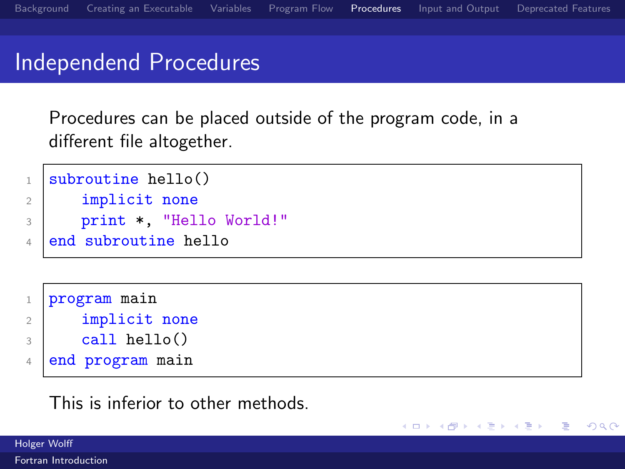メロト メ何ト メミトメ

∍

 $\Omega$ 

### Independend Procedures

Procedures can be placed outside of the program code, in a different file altogether.

```
1 \text{ subroutine } \text{hello}()2 implicit none
```

```
3 print *, "Hello World!"
```

```
4 end subroutine hello
```

| $\mathbf{1}$   | program main      |
|----------------|-------------------|
|                | implicit none     |
| $\mathcal{R}$  | $call$ hello $()$ |
| $\overline{4}$ | end program main  |

### This is inferior to other methods.

Holger Wolff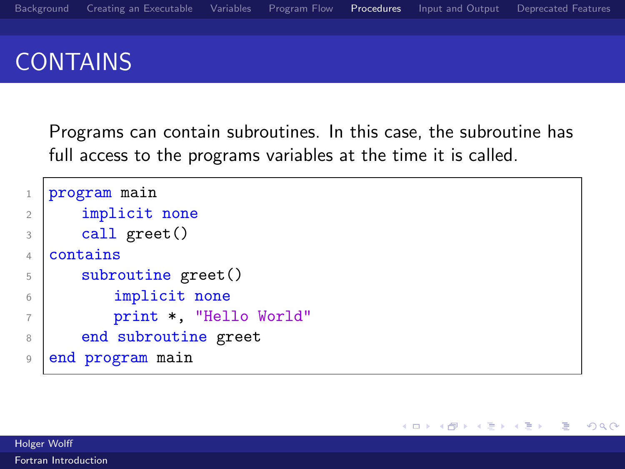# CONTAINS

Programs can contain subroutines. In this case, the subroutine has full access to the programs variables at the time it is called.

```
1 program main
2 implicit none
3 call greet()
4 contains
5 subroutine greet()
6 implicit none
7 print *, "Hello World"
8 end subroutine greet
9 end program main
```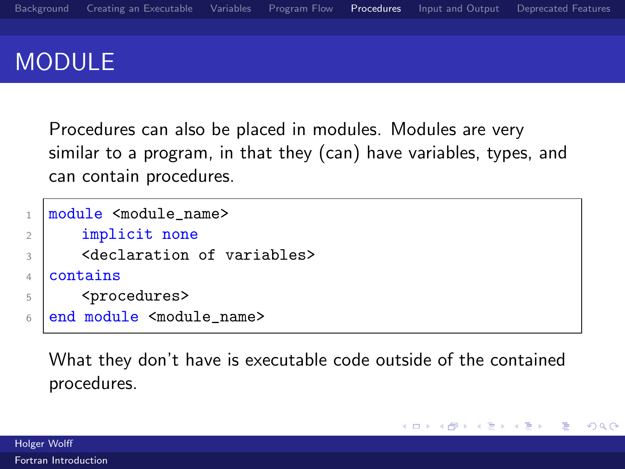# MODULE

Procedures can also be placed in modules. Modules are very similar to a program, in that they (can) have variables, types, and can contain procedures.

```
1 module <module_name>
2 | implicit none
3 <declaration of variables>
4 Contains
5 <procedures>
6 end module <module_name>
```
What they don't have is executable code outside of the contained procedures.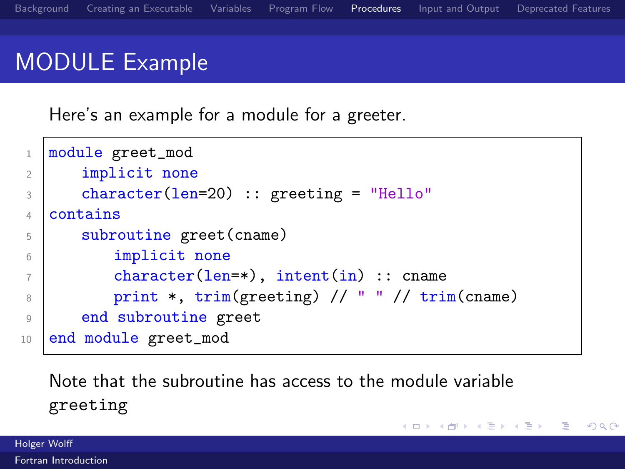# MODULE Example

Here's an example for a module for a greeter.

```
1 module greet_mod
2 implicit none
3 character(len=20) :: greeting = "Hello"
4 Contains
5 subroutine greet(cname)
6 implicit none
\begin{array}{ccc} 7 & \text{character}(\text{len}=\ast), \text{ intent(in)} \text{ ::} \text{ came} \end{array}8 print *, trim(greeting) // " " // trim(cname)
9 end subroutine greet
10 end module greet_mod
```
Note that the subroutine has access to the module variable greeting

K ロ ▶ K 御 ▶ K 君 ▶ K 君 ▶

Ε

 $\Omega$ 

Holger Wolff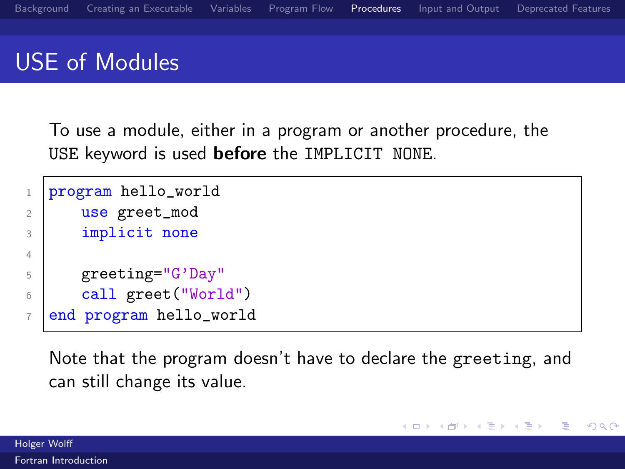### USE of Modules

To use a module, either in a program or another procedure, the USE keyword is used before the IMPLICIT NONE.

```
1 program hello_world
2 use greet_mod
3 implicit none
4
5 greeting="G'Day"
6 call greet("World")
7 end program hello_world
```
Note that the program doesn't have to declare the greeting, and can still change its value.

 $\Omega$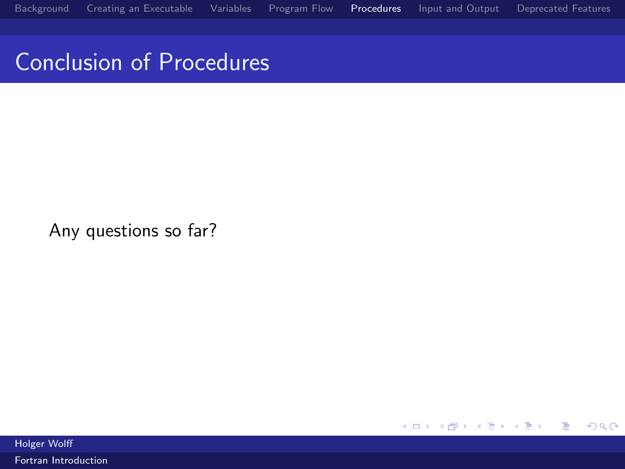Conclusion of Procedures

Any questions so far?

K ロ ▶ K 御 ▶ K 君 ▶ K 君 ▶ 重  $299$ 

Holger Wolff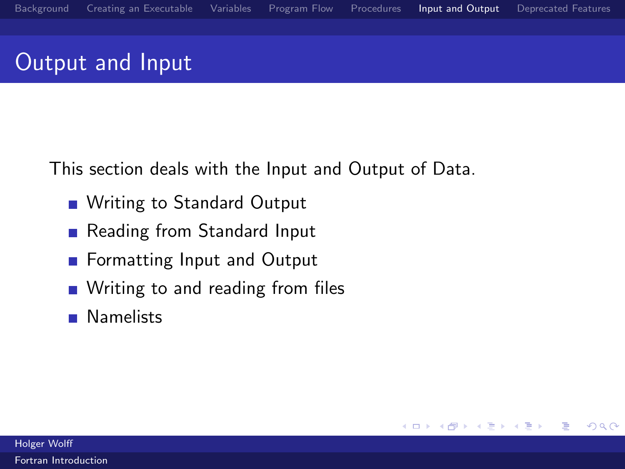# <span id="page-66-0"></span>Output and Input

This section deals with the Input and Output of Data.

- Writing to Standard Output
- Reading from Standard Input
- **Formatting Input and Output**
- Writing to and reading from files
- **Namelists**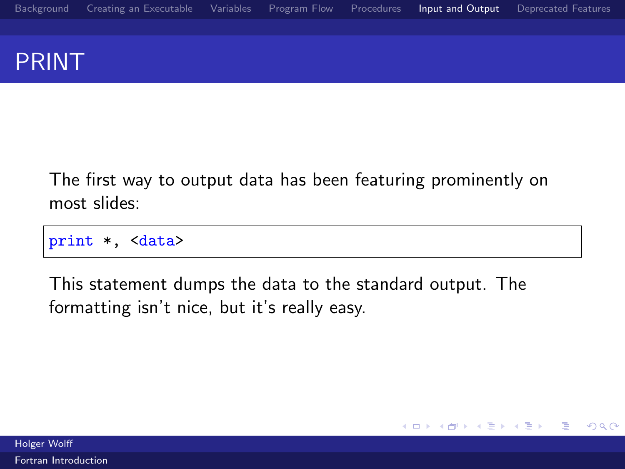### PRINT

The first way to output data has been featuring prominently on most slides:

print \*, <data>

This statement dumps the data to the standard output. The formatting isn't nice, but it's really easy.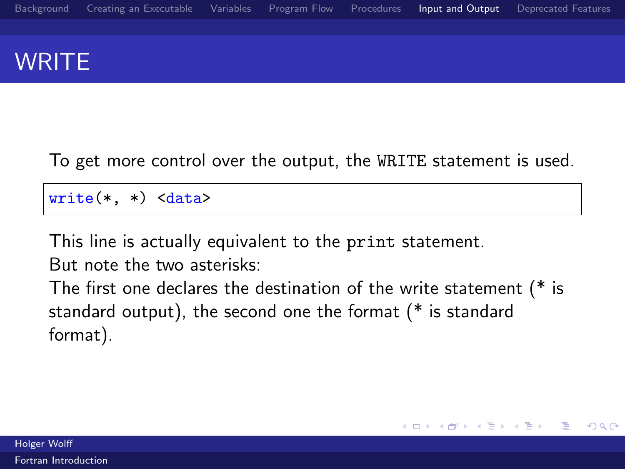# **WRITE**

### To get more control over the output, the WRITE statement is used.

 $write(*, *)$ 

This line is actually equivalent to the print statement.

But note the two asterisks:

The first one declares the destination of the write statement (\* is standard output), the second one the format (\* is standard format).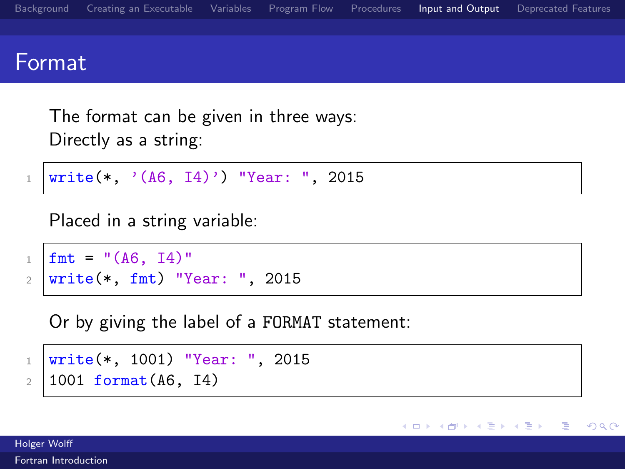

メロト メ団 トメ ミトメ

 $\Omega$ 

```
1 | write(*, '(A6, I4)') "Year: ", 2015
```

```
Placed in a string variable:
```

```
_1 | fmt = "(A6, I4)"
2 write(*, fmt) "Year: ", 2015
```
Or by giving the label of a FORMAT statement:

- $_1$  write(\*, 1001) "Year: ", 2015
- $2 | 1001$  format(A6, I4)

Holger Wolff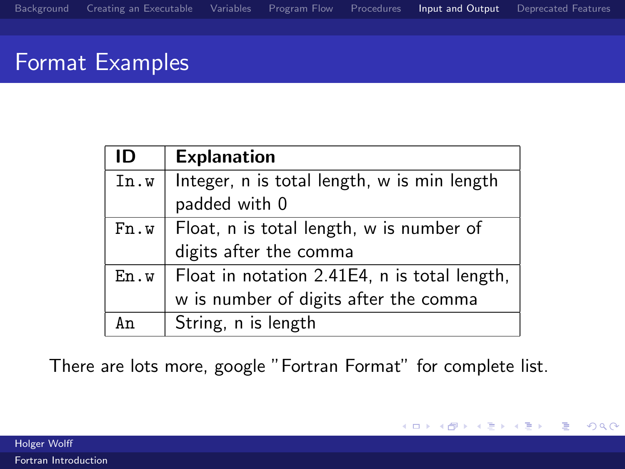# Format Examples

| ID   | <b>Explanation</b>                                           |
|------|--------------------------------------------------------------|
| In.w | Integer, n is total length, w is min length<br>padded with 0 |
|      |                                                              |
| Fn.w | Float, n is total length, w is number of                     |
|      | digits after the comma                                       |
| En.w | Float in notation 2.41E4, n is total length,                 |
|      | w is number of digits after the comma                        |
| Αn   | String, n is length                                          |

There are lots more, google "Fortran Format" for complete list.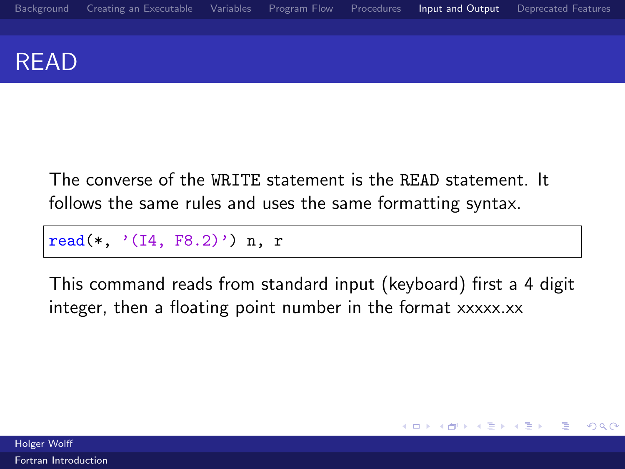### READ

The converse of the WRITE statement is the READ statement. It follows the same rules and uses the same formatting syntax.

read(\*,  $'(14, F8.2)')$  n, r

This command reads from standard input (keyboard) first a 4 digit integer, then a floating point number in the format xxxxx.xx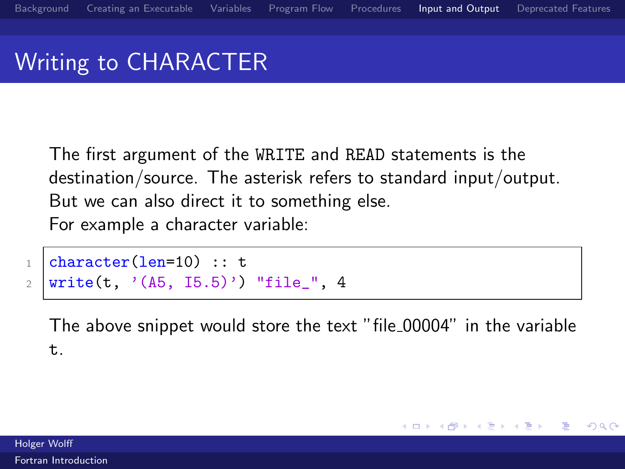## Writing to CHARACTER

The first argument of the WRITE and READ statements is the destination/source. The asterisk refers to standard input/output. But we can also direct it to something else. For example a character variable:

```
_1 character(len=10) :: t
2 | write(t, '(A5, 15.5)') "file_", 4
```
The above snippet would store the text "file 00004" in the variable t.

 $\left\langle \left\langle \left\langle \left\langle \left\langle \mathbf{q} \right\rangle \right\rangle \right\rangle \right\rangle \right\rangle$   $\left\langle \left\langle \left\langle \left\langle \mathbf{q} \right\rangle \right\rangle \right\rangle \right\rangle$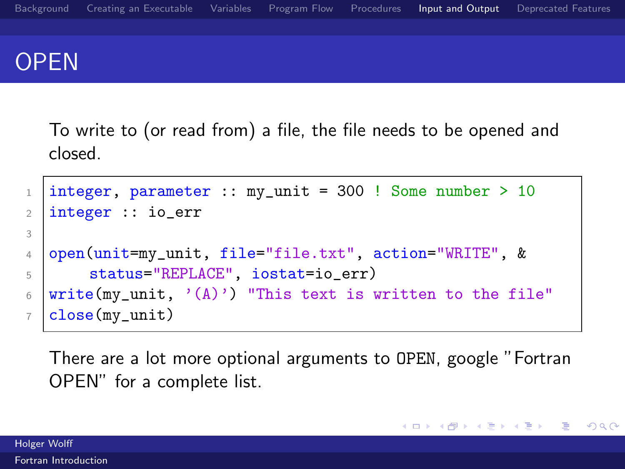

To write to (or read from) a file, the file needs to be opened and closed.

```
1 |integer, parameter :: my_unit = 300 ! Some number > 10
2 integer :: io_err
3
4 open(unit=my_unit, file="file.txt", action="WRITE", &
5 Status="REPLACE", iostat=io_err)
6 | write(my_unit, '(\Lambda)') "This text is written to the file"
7 | close(my\_unit)
```
There are a lot more optional arguments to OPEN, google "Fortran OPEN" for a complete list.

メロメ メ都 メメモメメ ヨメ

目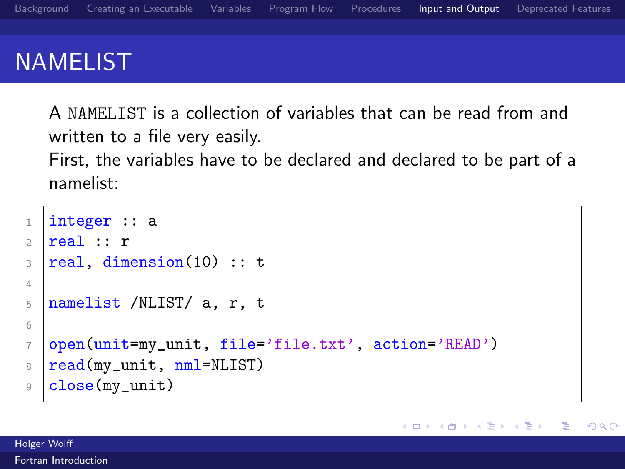## NAMELIST

A NAMELIST is a collection of variables that can be read from and written to a file very easily.

First, the variables have to be declared and declared to be part of a namelist:

```
1 integer :: a
2 real :: r
3 real, dimension(10) :: t
4
5 namelist /NLIST/ a, r, t
6
7 open(unit=my_unit, file='file.txt', action='READ')
8 \text{ read}(my_unit, nml=NLIST)
9 close(my_unit)
```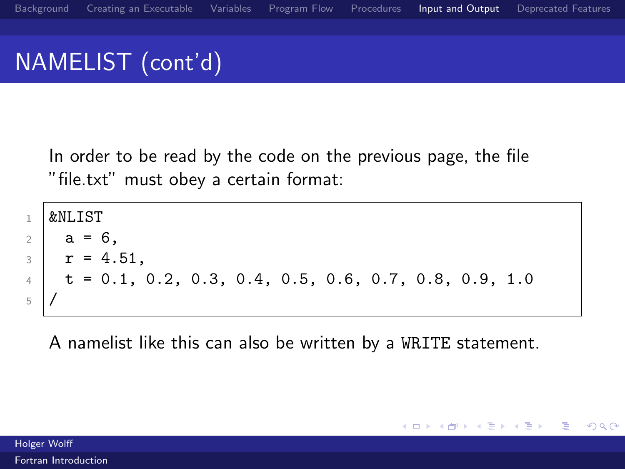# NAMELIST (cont'd)

In order to be read by the code on the previous page, the file "file.txt" must obey a certain format:

```
1 \& \text{NI}.TST
2 \times a = 6.
3 \mid r = 4.51,4 \mid t = 0.1, 0.2, 0.3, 0.4, 0.5, 0.6, 0.7, 0.8, 0.9, 1.05 /
```
A namelist like this can also be written by a WRITE statement.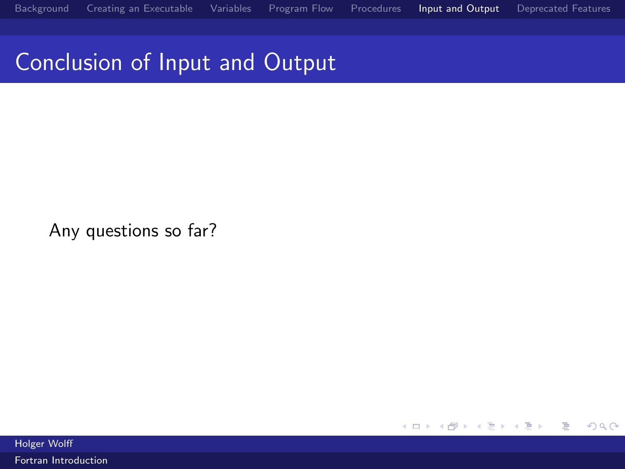Conclusion of Input and Output

Any questions so far?

 $299$ メロメ メ都 メメモ メルモト 活

Holger Wolff

[Fortran Introduction](#page-0-0)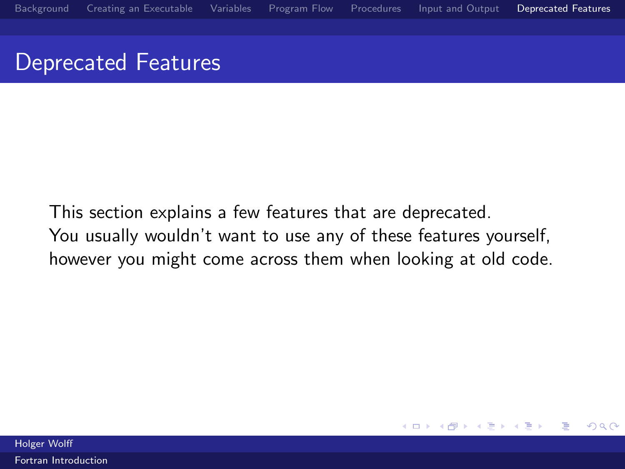#### <span id="page-77-0"></span>Deprecated Features

This section explains a few features that are deprecated. You usually wouldn't want to use any of these features yourself, however you might come across them when looking at old code.

4 D F

∋ »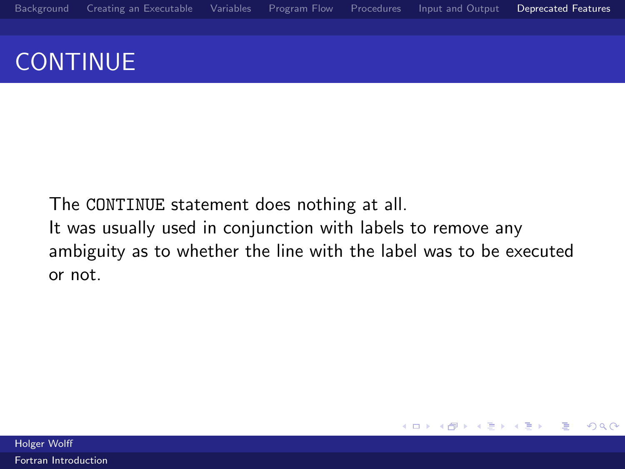# **CONTINUE**

The CONTINUE statement does nothing at all. It was usually used in conjunction with labels to remove any ambiguity as to whether the line with the label was to be executed or not.

4.0.3

 $\left\langle \left\langle \left\langle \left\langle \left\langle \mathbf{q} \right\rangle \right\rangle \right\rangle \right\rangle \right\rangle$   $\left\langle \left\langle \left\langle \left\langle \mathbf{q} \right\rangle \right\rangle \right\rangle \right\rangle$ 

Ε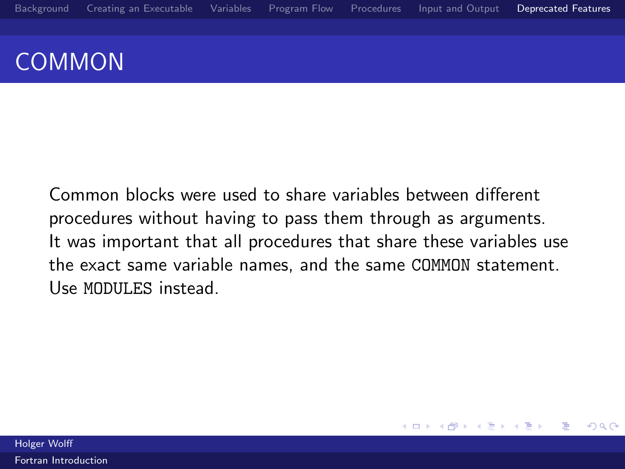## COMMON

Common blocks were used to share variables between different procedures without having to pass them through as arguments. It was important that all procedures that share these variables use the exact same variable names, and the same COMMON statement. Use MODULES instead.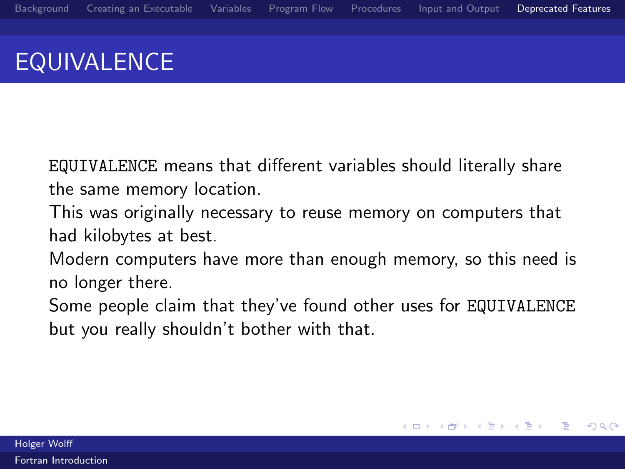# EQUIVALENCE

EQUIVALENCE means that different variables should literally share the same memory location.

This was originally necessary to reuse memory on computers that had kilobytes at best.

Modern computers have more than enough memory, so this need is no longer there.

Some people claim that they've found other uses for EQUIVALENCE but you really shouldn't bother with that.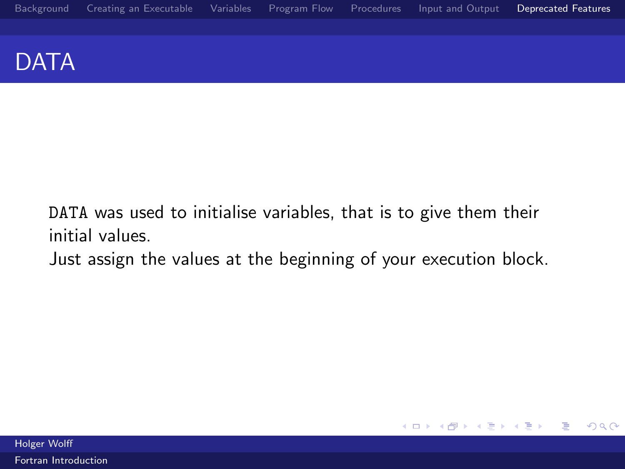#### DATA

DATA was used to initialise variables, that is to give them their initial values.

Just assign the values at the beginning of your execution block.

 $299$ 

活

メロメ メ都 メメモ メルモト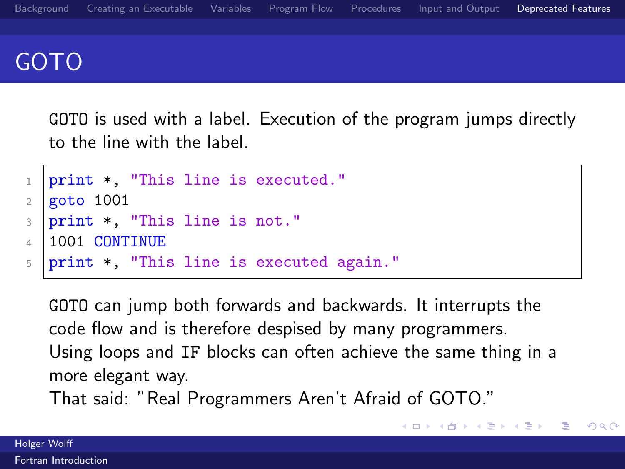

GOTO is used with a label. Execution of the program jumps directly to the line with the label.

```
_1 print *, "This line is executed."
2 \times 10013 print *, "This line is not."
4 1001 CONTINUE
5 print *, "This line is executed again."
```
GOTO can jump both forwards and backwards. It interrupts the code flow and is therefore despised by many programmers. Using loops and IF blocks can often achieve the same thing in a more elegant way.

メ 御 メ メ 君 メ メ 君 メー

 $2990$ 

G.

That said: "Real Programmers Aren't Afraid of GOTO."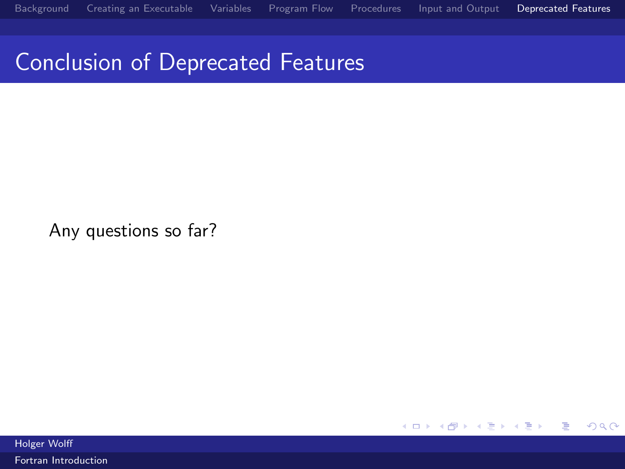## Conclusion of Deprecated Features

Any questions so far?

 $299$ メロメ メ都 メメモ メルモト 活

Holger Wolff

[Fortran Introduction](#page-0-0)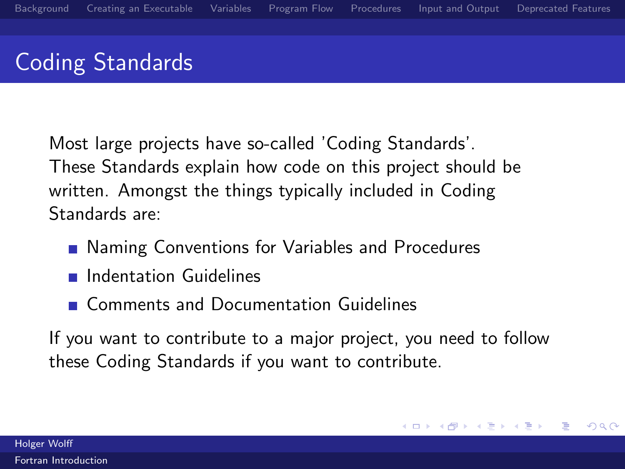# Coding Standards

Most large projects have so-called 'Coding Standards'. These Standards explain how code on this project should be written. Amongst the things typically included in Coding Standards are:

- Naming Conventions for Variables and Procedures
- **n** Indentation Guidelines
- **Comments and Documentation Guidelines**

If you want to contribute to a major project, you need to follow these Coding Standards if you want to contribute.